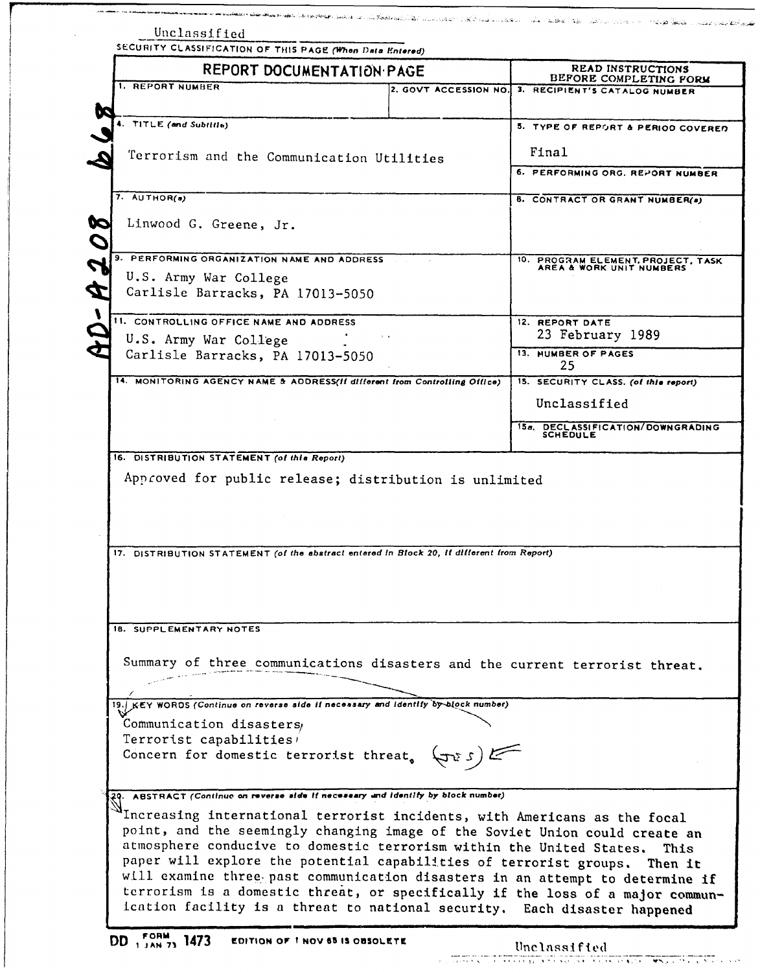|                         |                                                           | SECURITY CLASSIFICATION OF THIS PAGE (When Data Entered)                                                                                                       |                                                                             |
|-------------------------|-----------------------------------------------------------|----------------------------------------------------------------------------------------------------------------------------------------------------------------|-----------------------------------------------------------------------------|
|                         | REPORT DOCUMENTATION PAGE                                 |                                                                                                                                                                | <b>READ INSTRUCTIONS</b>                                                    |
| <b>1. REPORT NUMBER</b> |                                                           | 2. GOVT ACCESSION NO.                                                                                                                                          | BEFORE COMPLETING FORM<br>3. RECIPIENT'S CATALOG NUMBER                     |
| 4. TITLE (and Subtitle) |                                                           |                                                                                                                                                                | 5. TYPE OF REPORT & PERIOD COVERED                                          |
|                         | Terrorism and the Communication Utilities                 |                                                                                                                                                                | Final                                                                       |
|                         |                                                           |                                                                                                                                                                | 6. PERFORMING ORG. REPORT NUMBER                                            |
| $7.$ AUTHOR(a)          |                                                           |                                                                                                                                                                | 8. CONTRACT OR GRANT NUMBER(a)                                              |
| 9                       | Linwood G. Greene, Jr.                                    |                                                                                                                                                                |                                                                             |
|                         | 9. PERFORMING ORGANIZATION NAME AND ADDRESS               |                                                                                                                                                                | 10. PROGRAM ELEMENT, PROJECT, TASK AREA & WORK UNIT NUMBERS                 |
|                         | U.S. Army War College<br>Carlisle Barracks, PA 17013-5050 |                                                                                                                                                                |                                                                             |
|                         | 11. CONTROLLING OFFICE NAME AND ADDRESS                   |                                                                                                                                                                | 12. REPORT DATE                                                             |
|                         | U.S. Army War College<br>Carlisle Barracks, PA 17013-5050 |                                                                                                                                                                | 23 February 1989<br>13. NUMBER OF PAGES                                     |
|                         |                                                           | 14. MONITORING AGENCY NAME & ADDRESS(If different from Controlling Office)                                                                                     | 25<br>15. SECURITY CLASS. (of this report)                                  |
|                         |                                                           |                                                                                                                                                                | Unclassified                                                                |
|                         |                                                           |                                                                                                                                                                | 15a. DECLASSIFICATION/DOWNGRADING<br><b>SCHEDULE</b>                        |
|                         | 16. DISTRIBUTION STATEMENT (of this Report)               | Approved for public release; distribution is unlimited                                                                                                         |                                                                             |
|                         |                                                           |                                                                                                                                                                |                                                                             |
|                         |                                                           | 17. DISTRIBUTION STATEMENT (of the abstract entered in Block 20, if different from Report)                                                                     |                                                                             |
|                         |                                                           |                                                                                                                                                                |                                                                             |
| 18. SUPPLEMENTARY NOTES |                                                           |                                                                                                                                                                |                                                                             |
|                         |                                                           |                                                                                                                                                                |                                                                             |
|                         |                                                           |                                                                                                                                                                | Summary of three communications disasters and the current terrorist threat. |
|                         |                                                           | 19. KEY WORDS (Continue on reverse side if necessary and identify by-block number)                                                                             |                                                                             |
|                         | Communication disasters                                   |                                                                                                                                                                |                                                                             |
|                         | Terrorist capabilities                                    | Concern for domestic terrorist threat, $(\pi s)$                                                                                                               |                                                                             |
|                         |                                                           | 29. ABSTRACT (Continue on reverse side if necessary and identify by block number)<br>Increasing international terrorist incidents, with Americans as the focal |                                                                             |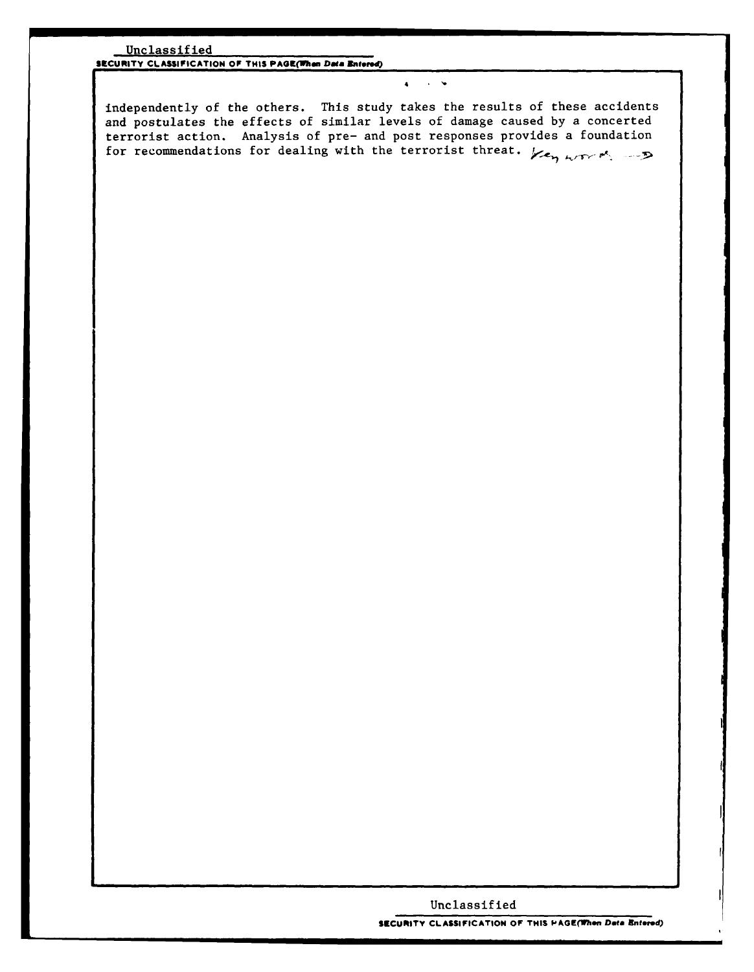### Unclassified

**SECURITY CLASSIFICATION OF THIS PAGE(1han** *Daa* **Bnteted)**

independently of the others. This study takes the results of these accidents and postulates the effects of similar levels of damage caused by a concerted terrorist action. Analysis of pre- and post responses provides a foundation for recommendations for dealing with the terrorist threat.  $\chi_{\epsilon_{\gamma_1}}$  .  $\chi_{\gamma_2}$ 

**4**

# Unclassified

**SECURITY CLASSIFICATION OF THIS PAGE(When Data Bnteore)**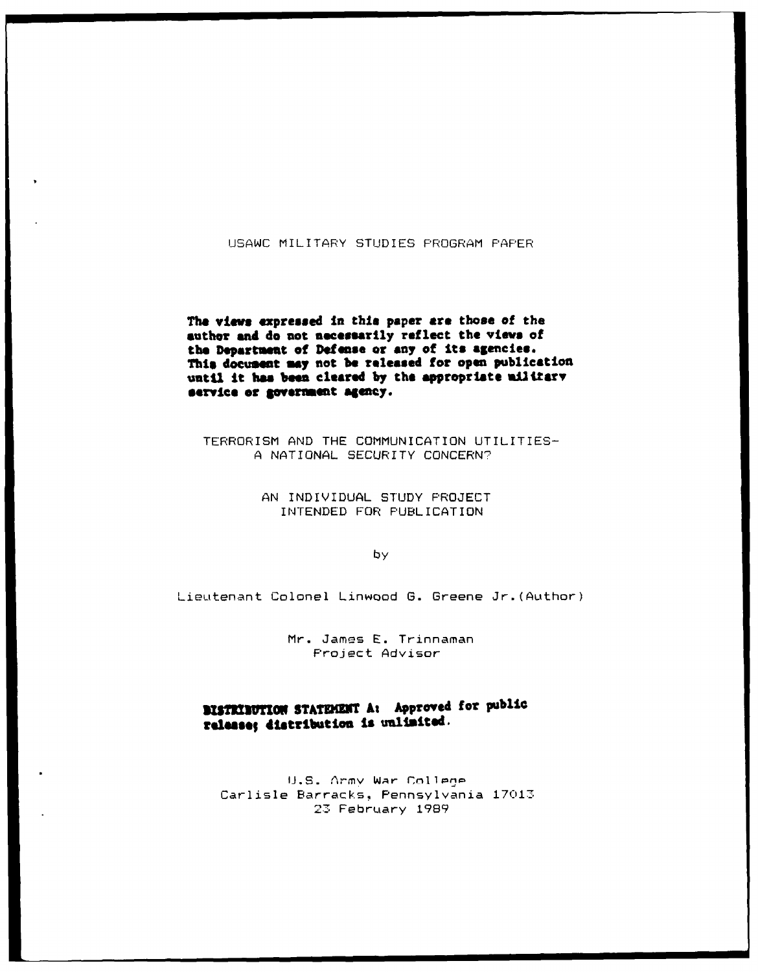# **USAWC** MILITARY STUDIES PROGRAM PAPER

The **views expressed** in this paper **are** those of the **author and do not necessarily reflect the views of the Departaent of Defense or any of its agencies. This document may** not **be released for open publication** until it has been cleared by the appropriate military **service or gverument agency.**

TERRORISM **AND** THE COMMUNICATION UTILITIES-**A** NATIONAL SECURITY CONCERN?

> **AN** INDIVIDUAL STUDY PROJECT INTENDED FOR PUBLICATION

> > by

Lieutenant Colonel Linwood **G.** Greene Jr.(Author)

Mr. James E. Trinnaman<br>Project Advisor

**RUSTRINUTION STATEMENT At Approved for public** release; distribution is **unlimited**.

U.S. Army War College Carlisle Barracks, Pennsylvania 17013. 2. February **1989**

**. I . i • l .I I I i l**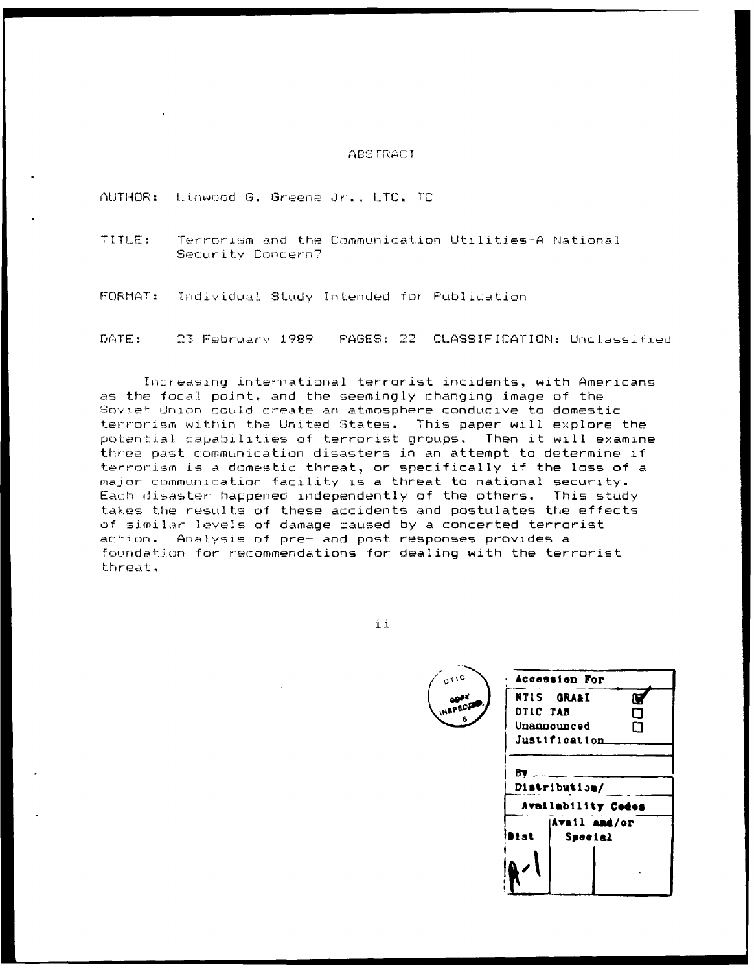### ABSTRACT

AUTHOR: Linwood G. Greene Jr., LTC, TC

TITLE: Terrorism and the Communication Utilities-A National Security Concern?

FORMAT: Individual Study Intended for Publication

PAGES: 22 CLASSIFICATION: Unclassified DATE: 23 February 1989

Increasing international terrorist incidents, with Americans as the focal point, and the seemingly changing image of the Soviet Union could create an atmosphere conducive to domestic terrorism within the United States. This paper will explore the potential capabilities of terrorist groups. Then it will examine three past communication disasters in an attempt to determine if terrorism is a domestic threat, or specifically if the loss of a major communication facility is a threat to national security. Each disaster happened independently of the others. This study takes the results of these accidents and postulates the effects of similar levels of damage caused by a concerted terrorist Analysis of pre- and post responses provides a action. foundation for recommendations for dealing with the terrorist threat.

ii

Accession For **NTIS GRAAI** V DTIC TAB О Unannounced  $\Box$ Justification  $Bv -$ Distribution/ Availability Cedes Avail and/or bi at Special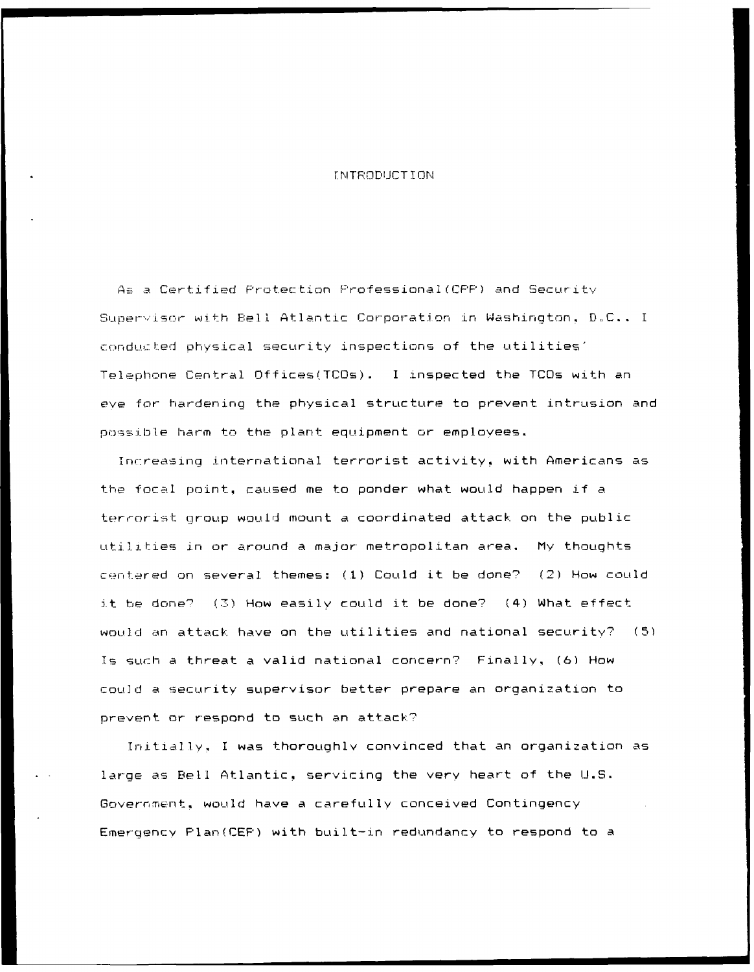### r NITRODIJCT I ON

*.* Certified Protection F'rofessional(CFF') and Securitv Supervisor with Bell Atlantic Corporation in Washington, D.C.. I conducted physical security inspections of the utilities' Telephone Central Offices(TCOs). I inspected the TCOs with an eve for hardening the physical structure to prevent intrusion and possible harm to the plant equipment or employees.

Increasing international terrorist activity, with Americans as the focal point, caused me to ponder what would happen if a terrorist group would mount a coordinated attack on the public utilities in or around a major metropolitan area. My thoughts centered on several themes: (1) Could it be done? (2) How could it be done? **(7)** How easily could it be done? (4) What effect would an attack have on the utilities and national security? **(5)** Is surh a threat a valid national concern? Finally, (6) How could a security supervisor better prepare an organization to prevent or respond to such an attack?

Initially., I was thoroughlv convinced that an organization as large as Bell Atlantic, servicing the very heart of the U.S. Government, would have a carefully conceived Contingency Emergency Plan(CEP) with built-in redundancy to respond to a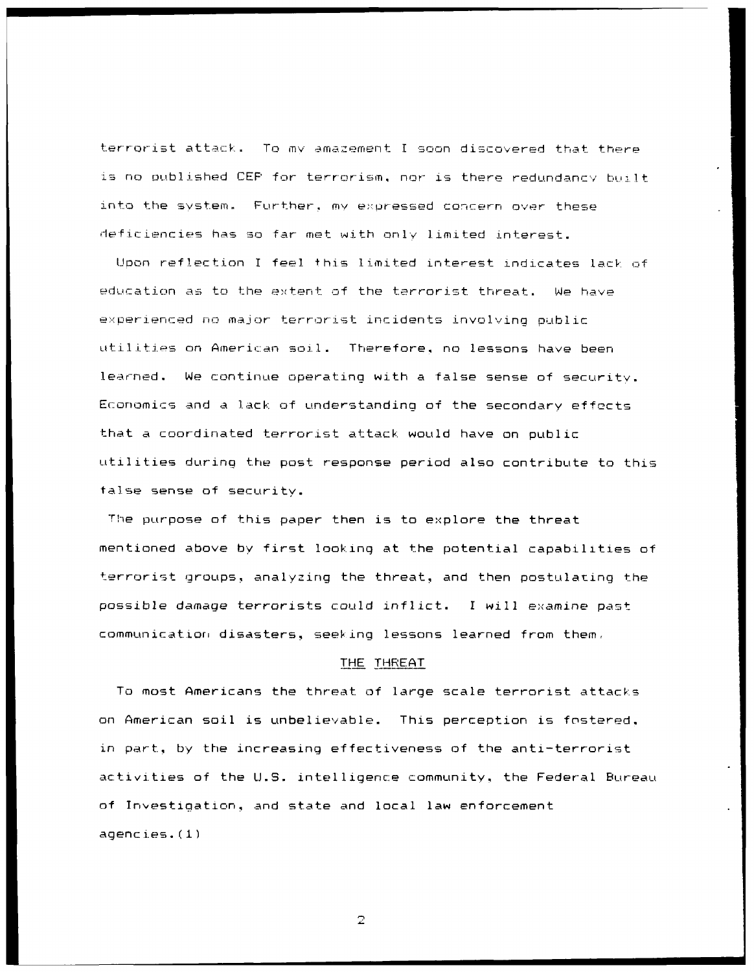terrorist attack. To my amazement I soon discovered that there is no published CEP for terrorism, nor is there redundancy built into the system. Further, my expressed concern over these deficiencies has so far met with only limited interest.

Upon reflection I feel this limited interest indicates lack of education as to the extent of the terrorist threat. We have experienced no major terrorist incidents involving public utilities on American soil. Therefore, no lessons have been learned. We continue operating with a false sense of security. Economics and a lack of understanding of the secondary effects -that a coordinated terrorist attack would have on public Utilities during the post response period also contribute to this talse sense of security.

The purpose of this paper then is to explore the threat mentioned above by first looking at the potential capabilities of terrorist groups, analyzing the threat, and then postulating the possible damage terrorists could inflict. I will examine past communication disasters, seeking lessons learned from them.

#### THE THREAT

To most Americans the threat of large scale terrorist attacks on American soil is unbelievable. This perception is fostered. in part, by the increasing effectiveness of the anti-terrorist activities of the U.S. intelligence community, the Federal Bureau of Investigation, and state and local law enforcement agencies. (1)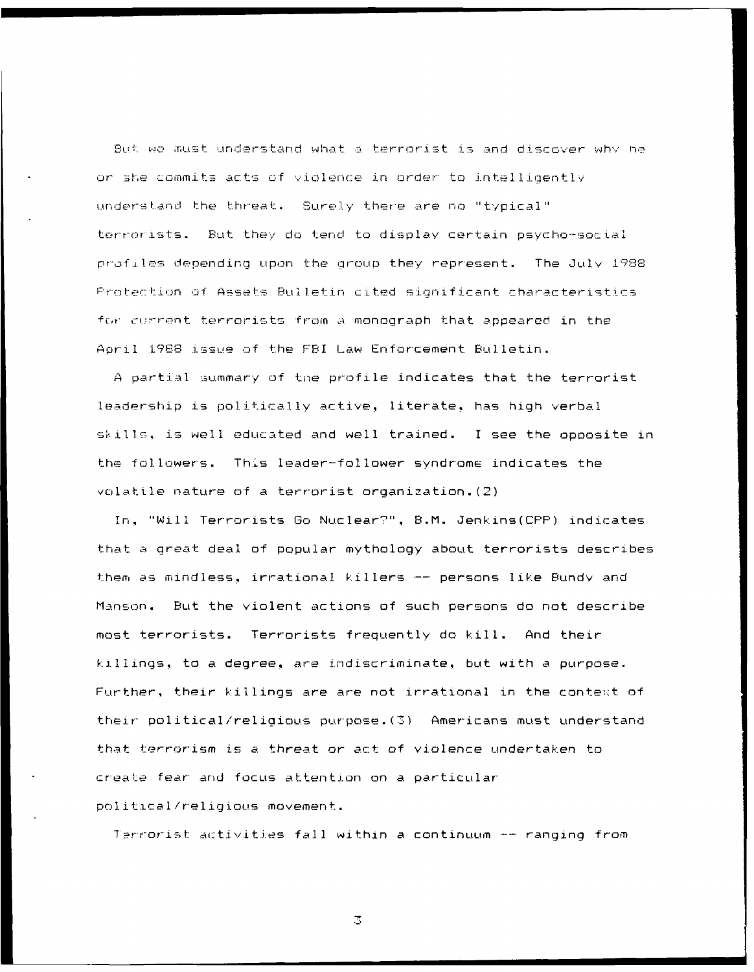But we must understand what a terrorist is and discover why he or she commits acts of violence in order to intelligently understand the threat. Surely there are no "typical" terrorists. But they do tend to display certain psycho-social profiles depending upon the group they represent. The July 1988 Protection of Assets Bulletin cited significant characteristics for current terrorists from a monograph that appeared in the April 1988 issue of the FBI Law Enforcement Bulletin.

A partial summary of the profile indicates that the terrorist leadership is politically active, literate, has high verbal skills, is well educated and well trained. I see the opposite in the followers. This leader-follower syndrome indicates the volatile nature of a terrorist organization. (2)

In, "Will Terrorists Go Nuclear?", B.M. Jenkins(CPP) indicates that a great deal of popular mythology about terrorists describes them as mindless, irrational killers -- persons like Bundy and Manson. But the violent actions of such persons do not describe most terrorists. Terrorists frequently do kill. And their killings, to a degree, are indiscriminate, but with a purpose. Further, their killings are are not irrational in the context of their political/religious purpose. (3) Americans must understand that terrorism is a threat or act of violence undertaken to create fear and focus attention on a particular political/religious movement.

Terrorist activities fall within a continuum -- ranging from

 $\mathbb{Z}$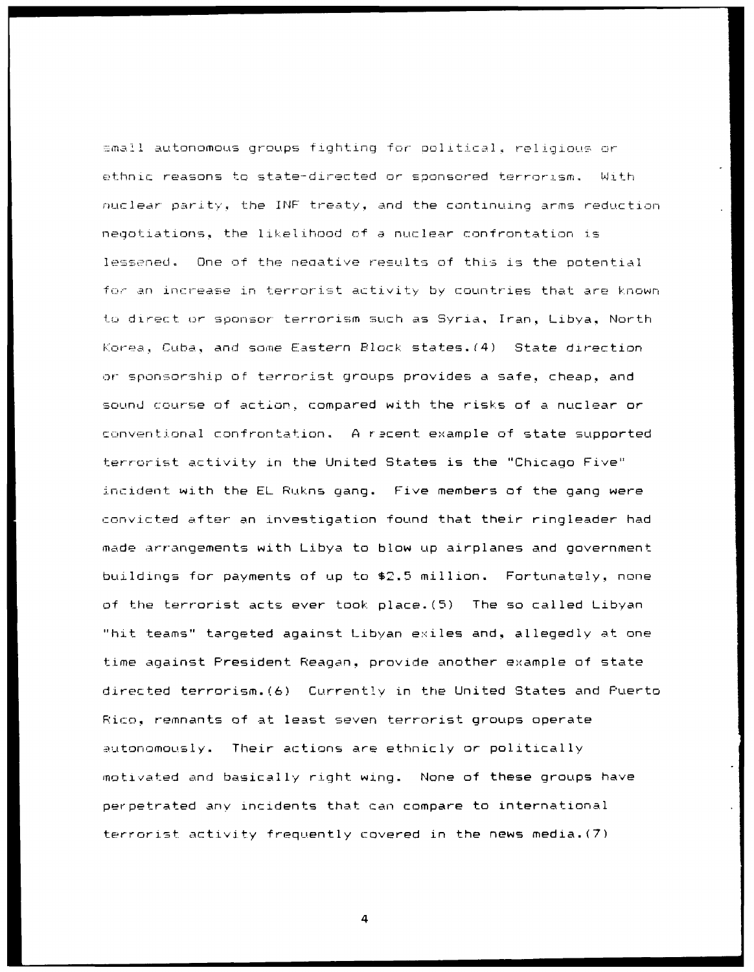$\equiv$ mall autonomous groups fighting for political, religious or ethnic reasons to state-directed or sponsored terrorism. With nuclear parity, the INF treaty, and the continuing arms reduction negotiations, the 1likel ihood of a nuclear confrontation is lessened. One of the negative results of this is the potential for an increase in terrorist activity by countries that are known to direct or sponsor terrorism such as Syria, Iran, Libya, North Korea, Cuba, and some Eastern Block states.(4) State direction **or** sponsorshiip of terrorist groups provides a safe, cheap, and sound course of action, compared with the risks of a nuclear or ccnventional confrontation. **A** r\_2cent example of state supported terrorist activity in the United States is the "Chicago Five" incident with the EL Rukns gang. Five members of the gang were convicted after an investigation found that their ringleader had made arrangements with Libya to blow up airplanes and government buildings for payments of up to \$2.5 million. Fortunately, none of the terrorist acts ever took place.(5) The so called Libyan "hit teams" targeted against Libyan exiles and, allegedly at one time against President Reagan., provide another example of state directed terrorism.(6) Currently in the United States and Puerto Rico, remnants of at least seven terrorist groups operate autonomousIy. Their actions are ethnicly or politically motivated and basically right wing. None of these groups have perpetrated any incidents that can compare to international terrorist activity frequently covered in the news media.(7)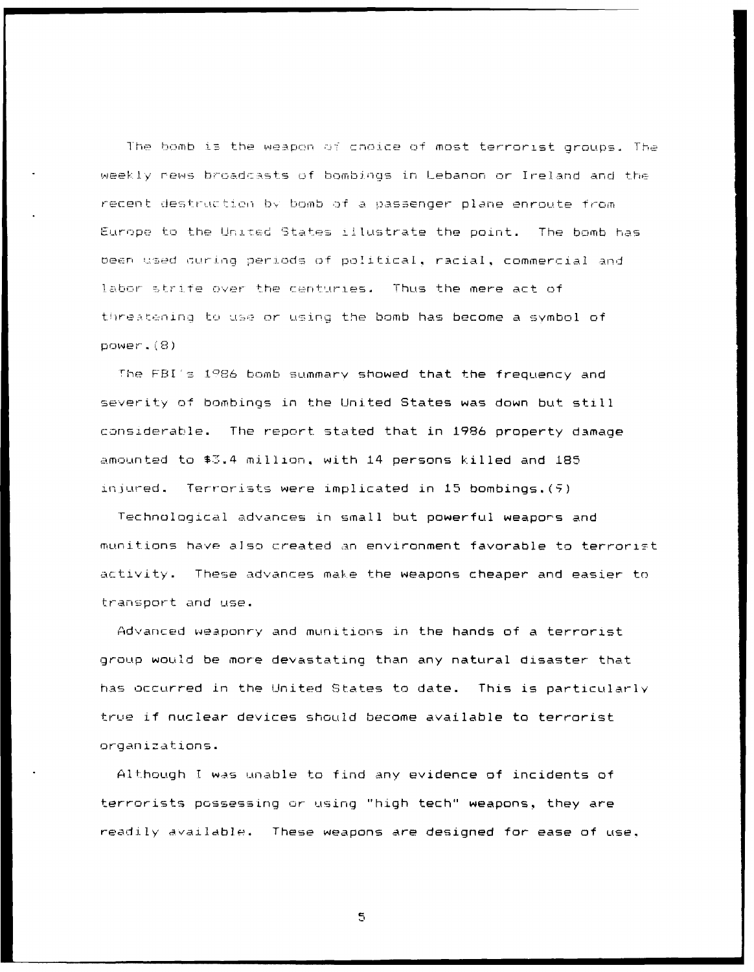The bomb is the weapon of choice of most terrorist groups. The weekly news broadcasts of bombings in Lebanon or Ireland and the recent destruction by bomb of a passenger plane enroute from Europe to the United States illustrate the point. The bomb has been used during periods of political, racial, commercial and labor strife over the centuries. Thus the mere act of threatening to use or using the bomb has become a symbol of power. (8)

The FBI's 1986 bomb summary showed that the frequency and severity of bombings in the United States was down but still considerable. The report stated that in 1986 property damage amounted to \$3.4 million, with 14 persons killed and 185 injured. Terrorists were implicated in 15 bombings. (5)

Technological advances in small but powerful weapons and munitions have also created an environment favorable to terrorist activity. These advances make the weapons cheaper and easier to transport and use.

Advanced weaponry and munitions in the hands of a terrorist group would be more devastating than any natural disaster that has occurred in the United States to date. This is particularly true if nuclear devices should become available to terrorist organizations.

Although I was unable to find any evidence of incidents of terrorists possessing or using "high tech" weapons, they are readily available. These weapons are designed for ease of use.

 $\mathbb S$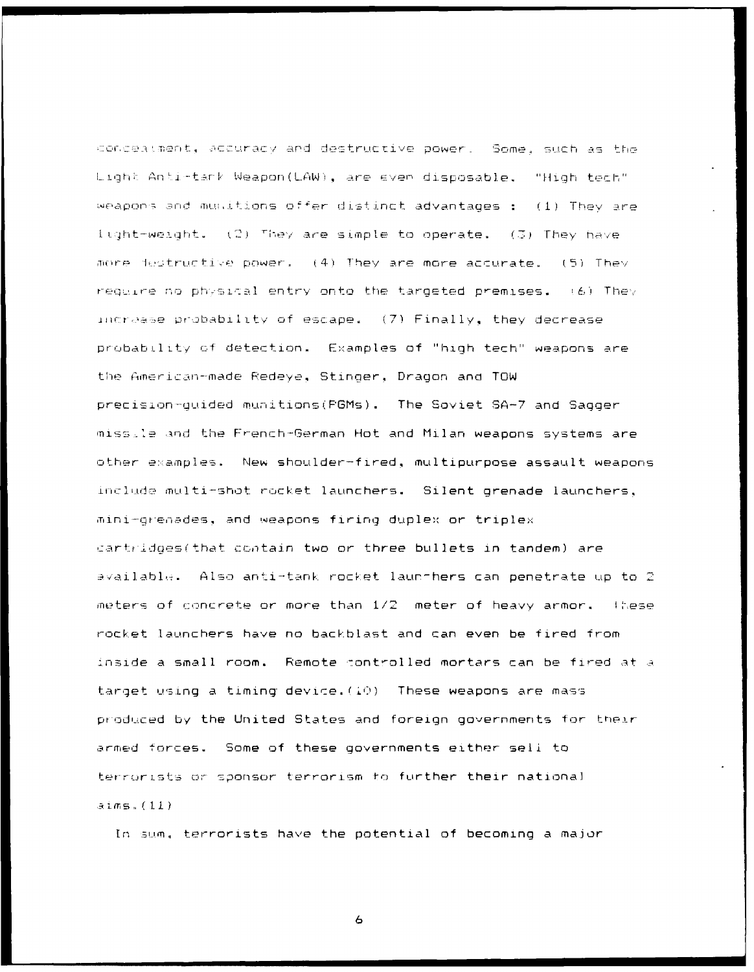conceatment, accuracy and destructive power. Some, such as the Light Anti-tark Weapon(LAW), are even disposable. "High tech" weapons and munitions offer distinct advantages: (1) They are light-weight. (2) They are simple to operate. (3) They have more festructive power. (4) They are more accurate. (5) They require no physical entry onto the targeted premises. (6) They increase probability of escape. (7) Finally, they decrease probability of detection. Examples of "high tech" weapons are the American-made Redeye, Stinger, Dragon and TOW precision-quided munitions (FGMs). The Soviet SA-7 and Sagger miss.le and the French-German Hot and Milan weapons systems are other examples. New shoulder-fired, multipurpose assault weapons include multi-shot rocket launchers. Silent grenade launchers, mini-greaades, and weapons firing duplex or triplex cartridges(that contain two or three bullets in tandem) are available. Also anti-tank rocket launthers can penetrate up to 2 meters of concrete or more than 1/2 meter of heavy armor. These rocket launchers have no backblast and can even be fired from inside a small room. Remote controlled mortars can be fired at a target using a timing device.  $(10)$  These weapons are mass produced by the United States and foreign governments for their armed forces. Some of these governments either sell to terrorists or sponsor terrorism to further their national  $\exists \text{ims.}(11)$ 

In sum, terrorists have the potential of becoming a major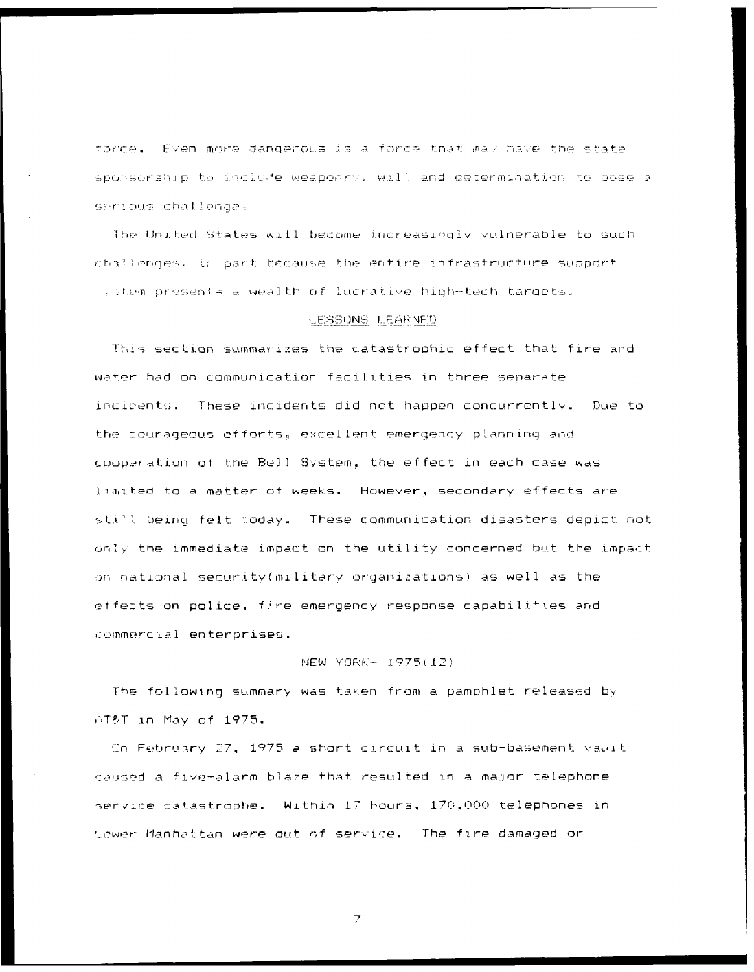force. Even more dangerous is a force that may have the state sponsorabip to include weaponry, will and determination to pose a serious challenge.

The United States will become increasingly vulnerable to such challenges, in part because the entire infrastructure support system presents a wealth of lucrative high-tech targets.

### LESSONS LEARNED

This section summarizes the catastrophic effect that fire and water had on communication facilities in three separate incidents. These incidents did not happen concurrently. Due to the courageous efforts, excellent emergency planning and cooperation of the Bell System, the effect in each case was limited to a matter of weeks. However, secondary effects are still being felt today. These communication disasters depict not only the immediate impact on the utility concerned but the impact on national security(military organizations) as well as the effects on police, fire emergency response capabilities and commercial enterprises.

### NEW YORK- 1975(12)

The following summary was taken from a pamphlet released by AT&T in May of 1975.

On February 27, 1975 a short circuit in a sub-basement valut caused a five-alarm blaze that resulted in a major telephone service catastrophe. Within 17 bours, 170,000 telephones in Lower Manhattan were out of service. The fire damaged or

 $\overline{z}$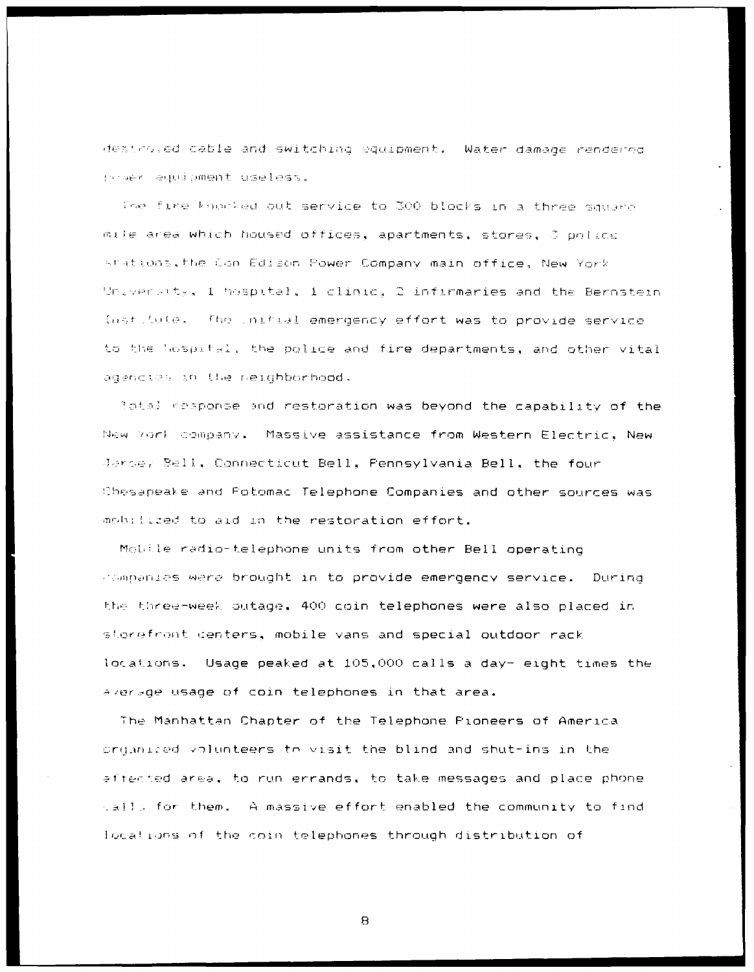destroyed cable and switching equipment. Water damage rendered praer equipment useless.

The fire knocked out service to 300 blocks in a three square mile area which housed offices, apartments, stores, J philde stations, the Con Edison Power Company main office, New York University, 1 hospital, 1 clinic, 2 infirmaries and the Bernstein institute. The initial emergency effort was to provide service to the Wospital, the police and fire departments, and other vital agencies in the neighborhood.

Total response and restoration was beyond the capability of the New York company. Massive assistance from Western Electric, New Jarse, Bell, Connecticut Bell, Pennsylvania Bell, the four Chesapeake and Fotomac Telephone Companies and other sources was mobilized to aid in the restoration effort.

Mobile radio-telephone units from other Bell operating companies were brought in to provide emergency service. During the three-week outage. 400 coin telephones were also placed in storefront centers, mobile vans and special outdoor rack locations. Usage peaked at 105,000 calls a day- eight times the average usage of coin telephones in that area.

The Manhattan Chapter of the Telephone Pioneers of America organized volunteers to visit the blind and shut-ins in the affected area, to run errands, to take messages and place phone salls for them. A massive effort enabled the community to find locations of the coin telephones through distribution of

 $\mathbf{B}$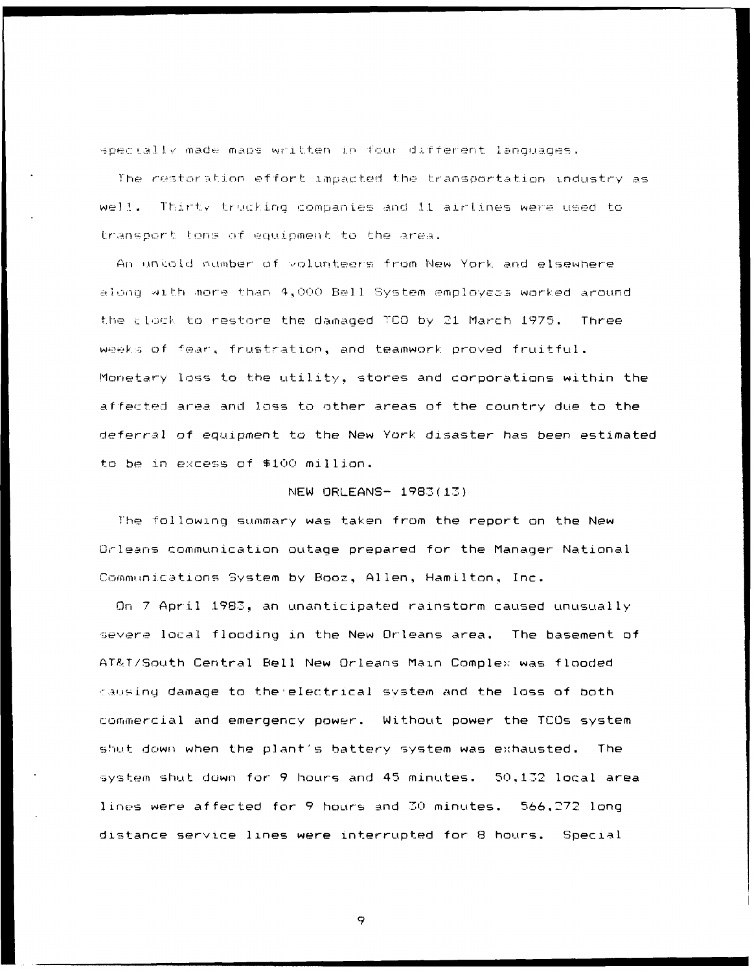spectally made maps written in four different languages.

The restoration effort impacted the transportation industry as well. Thirty trucking companies and 11 airlines were used to transport tons of equipment to the area.

An uniold number of volunteers from New York and elsewhere along with more than 4,000 Bell System employees worked around the clock to restore the damaged TCO by 21 March 1975. Three weeks of fear, frustration, and teamwork proved fruitful. Monetary loss to the utility, stores and corporations within the affected area and loss to other areas of the country due to the deferral of equipment to the New York disaster has been estimated to be in excess of \$100 million.

### NEW ORLEANS- 1983(13)

The following summary was taken from the report on the New Orleans communication outage prepared for the Manager National Communications System by Booz, Allen, Hamilton, Inc.

On 7 April 1983, an unanticipated rainstorm caused unusually severe local flooding in the New Orleans area. The basement of AT&T/South Central Bell New Orleans Main Complex was flooded causing damage to the electrical system and the loss of both commercial and emergency power. Without power the TCOs system shut down when the plant's battery system was exhausted. The system shut down for 9 hours and 45 minutes. 50,132 local area lines were affected for 9 hours and 30 minutes. 566,272 long distance service lines were interrupted for 8 hours. Special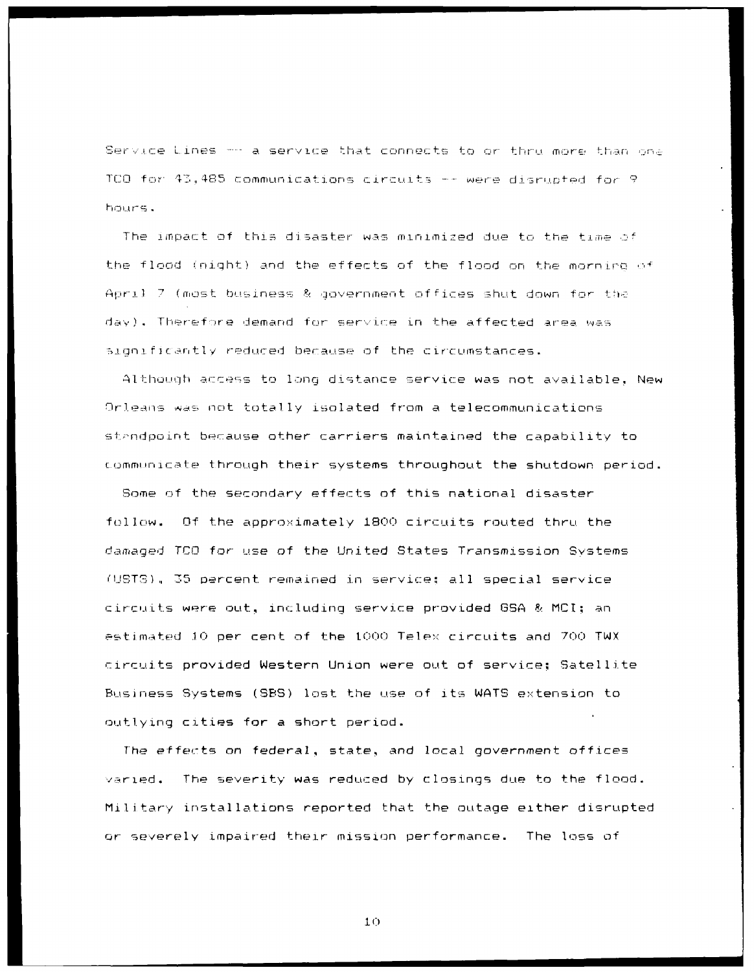Service Lines - a service that connects to or thru more than one TCO for 43,485 communications circuits -- were disrupted for 9 hours.

The impact of this disaster was minimized due to the time of the flood (night) and the effects of the flood on the morning of April 7 (most business & government offices shut down for the day). Therefore demand for service in the affected area was significantly reduced because of the circumstances.

Although access to long distance service was not available, New Orleans was not totally isolated from a telecommunications standpoint because other carriers maintained the capability to communicate through their systems throughout the shutdown period.

Some of the secondary effects of this national disaster follow. Of the approximately 1800 circuits routed thru the damaged TCO for use of the United States Transmission Systems (USTS), 35 percent remained in service: all special service circuits were out, including service provided GSA & MCI; an estimated 10 per cent of the 1000 Telex circuits and 700 TWX circuits provided Western Union were out of service: Satellite Business Systems (SBS) lost the use of its WATS extension to outlying cities for a short period.

The effects on federal, state, and local government offices varied. The severity was reduced by closings due to the flood. Military installations reported that the outage either disrupted or severely impaired their mission performance. The loss of

 $10<sub>1</sub>$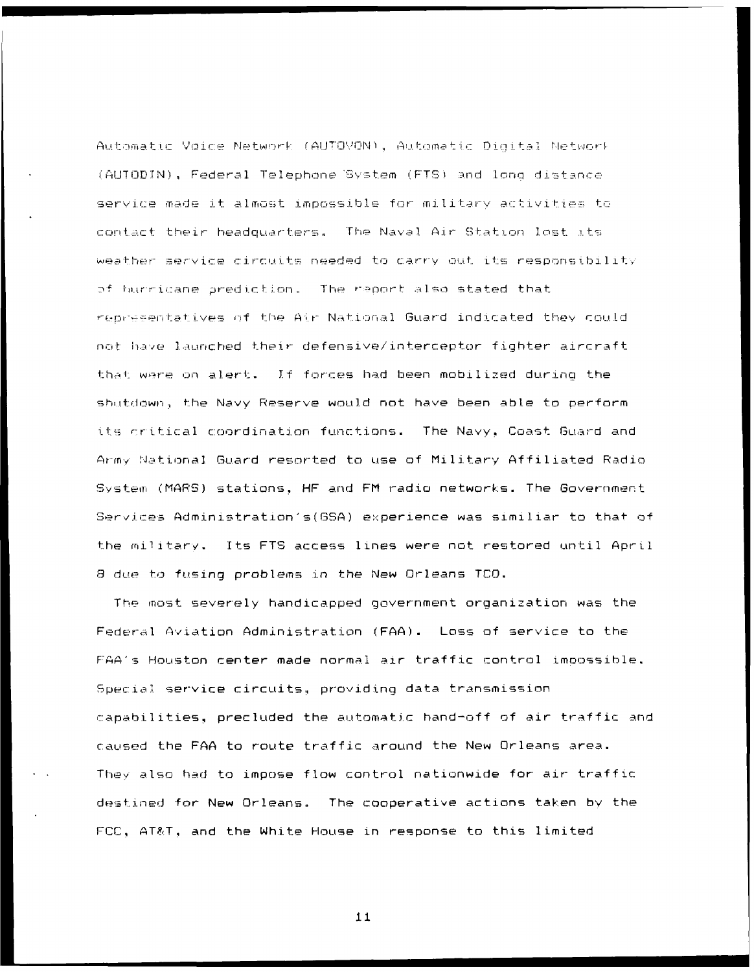Automatic Voice Network (AUTOVON), Automatic Dioital Network (AUTODIN), Federal Telephone System (FTS) and long distance service made it almost impossible for military activities to contact their headquarters. The Naval Air Station lost its weather service circuits needed to carry out its responsibility of harricane prediction. The report also stated that representatives of the Air National Guard indicated they could not have launched their defensive/interceptor fighter aircraft that were on alert. If forces had been mobilized during the shutdown, the Navy Reserve would not have been able to perform its critical coordination functions. The Navy, Coast Guard and Army National Guard resorted to use of Military Affiliated Radio System (MARS) stations, HF and FM radio networks. The Government Services Administration's (GSA) experience was similiar to that of the military. Its FTS access lines were not restored until April 8 due to fusing problems in the New Orleans TCO.

The most severely handicapped government organization was the Federal Aviation Administration (FAA). Loss of service to the FAA's Houston center made normal air traffic control impossible. Special service circuits, providing data transmission capabilities, precluded the automatic hand-off of air traffic and caused the FAA to route traffic around the New Orleans area. They also had to impose flow control nationwide for air traffic destined for New Orleans. The cooperative actions taken by the FCC, AT&T, and the White House in response to this limited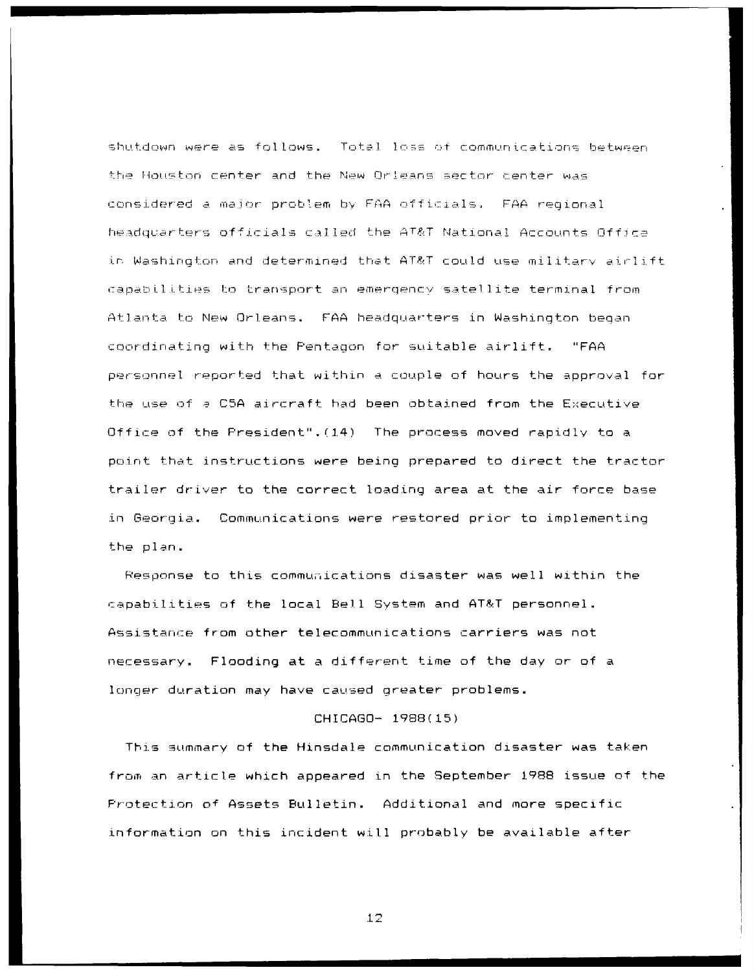shutdown were as follows. Total loss of communications between the Houston center and the New Orleans sector center was considered a major problem by FAA officials. FAA regional headquarters officials called the AT&T National Accounts Office in Washington and determined that AT&T could use military airlift capabilities to transport an emergency satellite terminal from Atlanta to New Orleans. FAA headquarters in Washington began coordinating with the Pentagon for suitable airlift. "FAA personnel reported that within a couple of hours the approval for the use of a C5A aircraft had been obtained from the Executive Office of the President". (14) The process moved rapidly to a point that instructions were being prepared to direct the tractor trailer driver to the correct loading area at the air force base in Georgia. Communications were restored prior to implementing the plan.

Response to this communications disaster was well within the capabilities of the local Bell System and AT&T personnel. Assistance from other telecommunications carriers was not necessary. Flooding at a different time of the day or of a longer duration may have caused greater problems.

#### CHICAGO- 1988(15)

This summary of the Hinsdale communication disaster was taken from an article which appeared in the September 1988 issue of the Protection of Assets Bulletin. Additional and more specific information on this incident will probably be available after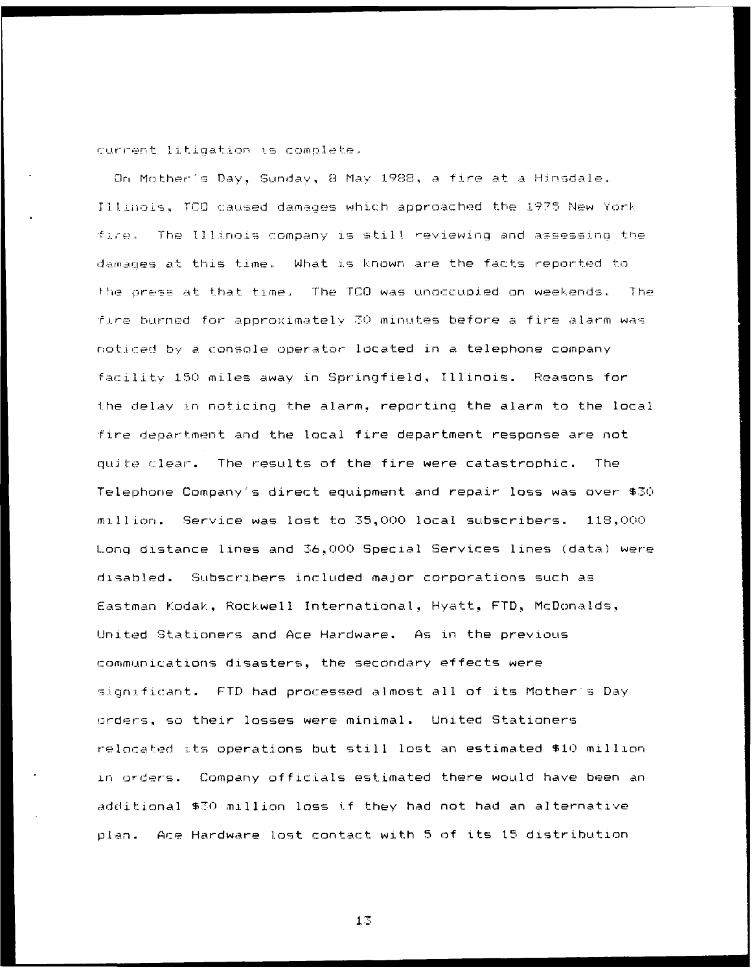current litigation is complete.

On Mother's Day, Sunday, 8 May 1988, a fire at a Hinsdale. Illinois, TCO caused damages which approached the 1975 New York fire. The Illinois company is still reviewing and assessing the damages at this time. What is known are the facts reported to the press at that time. The TCO was unoccupied on weekends. The fire burned for approximately 30 minutes before a fire alarm was noticed by a console operator located in a telephone company facility 150 miles away in Springfield, Illinois. Reasons for the delay in noticing the alarm, reporting the alarm to the local fire department and the local fire department response are not quite clear. The results of the fire were catastrophic. The Telephone Company's direct equipment and repair loss was over \$30 million. Service was lost to 35,000 local subscribers. 118,000 Long distance lines and 36,000 Special Services lines (data) were disabled. Subscribers included major corporations such as Eastman Kodak, Rockwell International, Hyatt, FTD, McDonalds, United Stationers and Ace Hardware. As in the previous communications disasters, the secondary effects were significant. FTD had processed almost all of its Mother's Day orders, so their losses were minimal. United Stationers relocated its operations but still lost an estimated \$10 million in orders. Company officials estimated there would have been an additional \$30 million loss if they had not had an alternative plan. Ace Hardware lost contact with 5 of its 15 distribution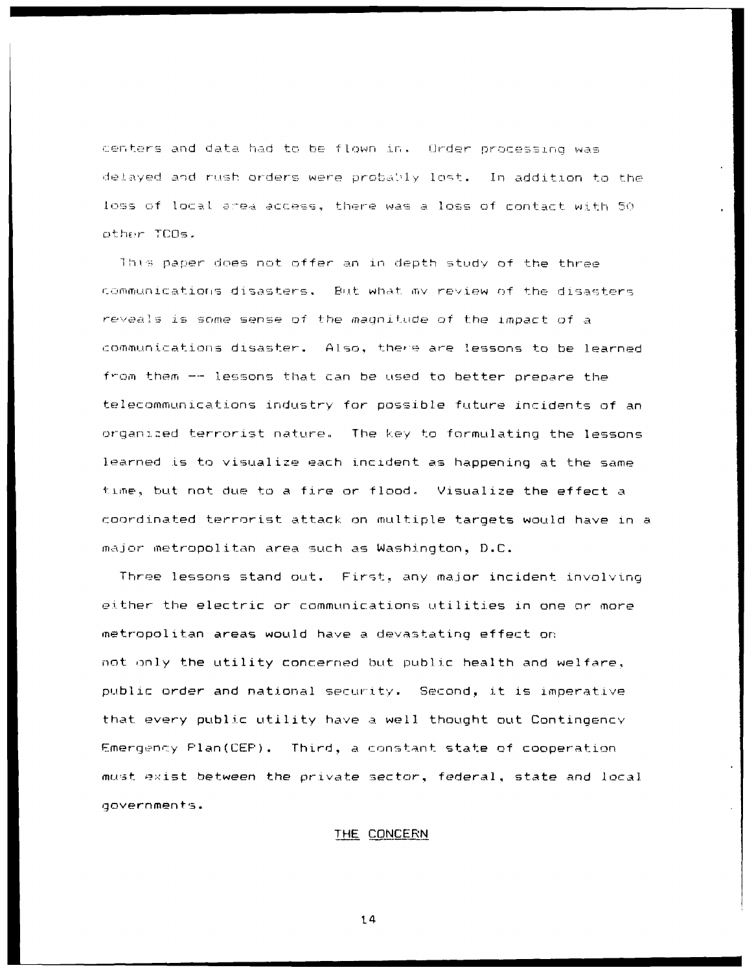centers and data had to be flown in. Order processing was delayed and rush orders were probably lost. In addition to the loss of local area access, there was a loss of contact with 50 other ICOs.

This paper does not offer an in depth study of the three communications disasters. But what my review of the disasters reveals is some sense of the magnitude of the impact of a communications disaster. Also, there are lessons to be learned from them -- lessons that can be used to better prepare the telecommunications industry for possible future incidents of an organized terrorist nature. The key to formulating the lessons learned is to visualize each incident as happening at the same time, but not due to a fire or flood. Visualize the effect a coordinated terrorist attack on multiple targets would have in a major metropolitan area such as Washington, D.C.

Three lessons stand out. First, any major incident involving either the electric or communications utilities in one or more metropolitan areas would have a devastating effect on not only the utility concerned but public health and welfare. public order and national security. Second, it is imperative that every public utility have a well thought out Contingency Emergency Plan(CEP). Third, a constant state of cooperation must exist between the private sector, federal, state and local governments.

### THE CONCERN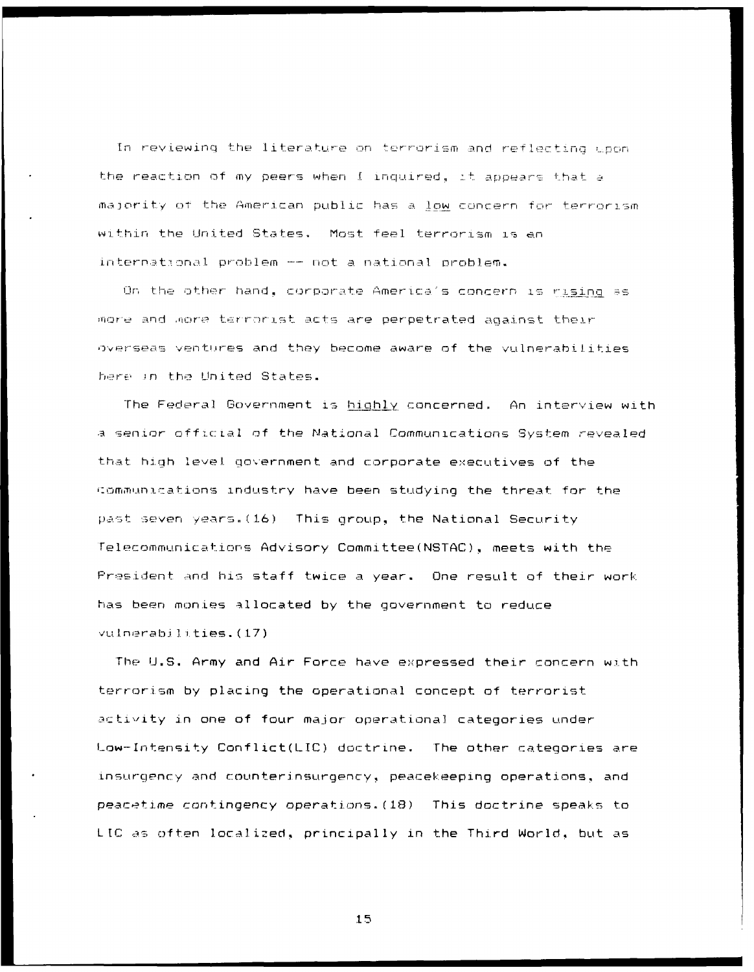In reviewing the literature on terrorism and reflecting upon the reaction of my peers when I inquired, it appears that a majority of the American public has a low concern for terrorism within the United States. Most feel terrorism is an international problem -- not a national problem.

On the other hand, corporate America's concern is rising as more and more terrorist acts are perpetrated against their overseas ventures and they become aware of the vulnerabilities here in the United States.

The Federal Government is highly concerned. An interview with a senior official of the National Communications System revealed that high level government and corporate executives of the communications industry have been studying the threat for the past seven years. (16) This group, the National Security Telecommunications Advisory Committee(NSTAC), meets with the President and his staff twice a year. One result of their work has been monies allocated by the government to reduce vulnerabilities.(17)

The U.S. Army and Air Force have expressed their concern with terrorism by placing the operational concept of terrorist activity in one of four major operational categories under Low-Intensity Conflict(LIC) doctrine. The other categories are insurgency and counterinsurgency, peacekeeping operations, and peacetime contingency operations. (18) This doctrine speaks to LIC as often localized, principally in the Third World, but as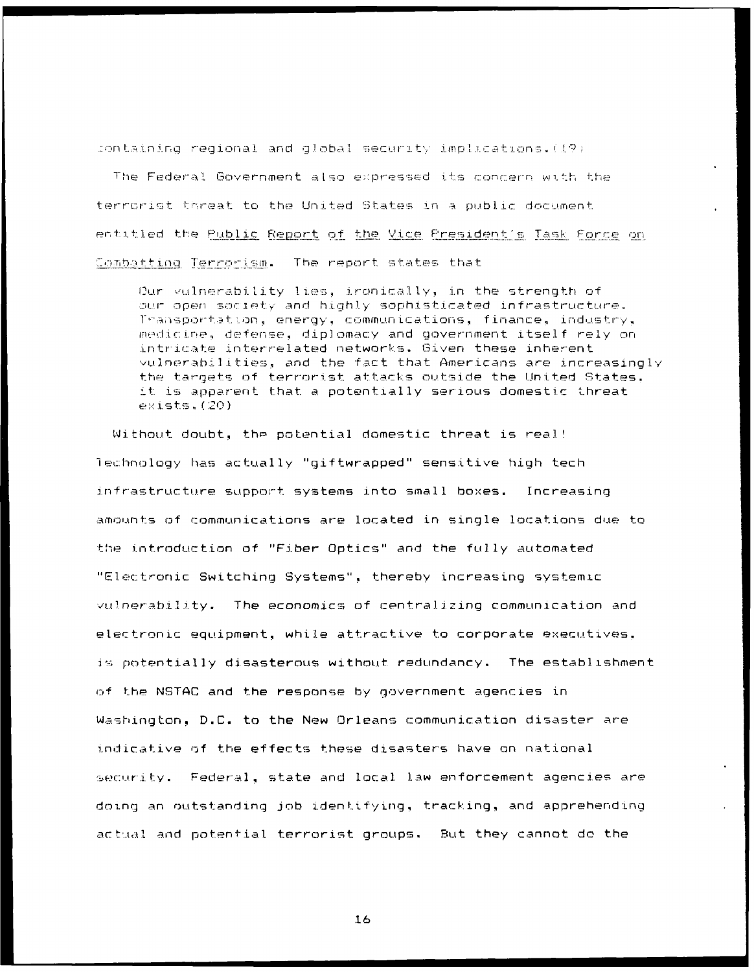containing regional and global security implications. (19)

The Federal Government also expressed its concern with the terrorist threat to the United States in a public document entitled the <u>Public Report of the Vice President's Task Force</u> on Combatting Terrorism. The report states that

Our vulnerability lies, ironically, in the strength of our open society and highly sophisticated infrastructure. Transportation, energy, communications, finance, industry, medicine, defense, diplomacy and government itself rely on intricate interrelated networks. Given these inherent vulnerabilities, and the fact that Americans are increasingly the targets of terrorist attacks outside the United States. it is apparent that a potentially serious domestic threat  $exists, (20)$ 

Without doubt, the potential domestic threat is real! lechnology has actually "giftwrapped" sensitive high tech infrastructure support systems into small boxes. Increasing amounts of communications are located in single locations due to the introduction of "Fiber Optics" and the fully automated "Electronic Switching Systems", thereby increasing systemic vulnerability. The economics of centralizing communication and electronic equipment, while attractive to corporate executives. is potentially disasterous without redundancy. The establishment of the NSTAC and the response by government agencies in Washington, D.C. to the New Orleans communication disaster are indicative of the effects these disasters have on national security. Federal, state and local law enforcement agencies are doing an outstanding job identifying, tracking, and apprehending actual and potential terrorist groups. But they cannot do the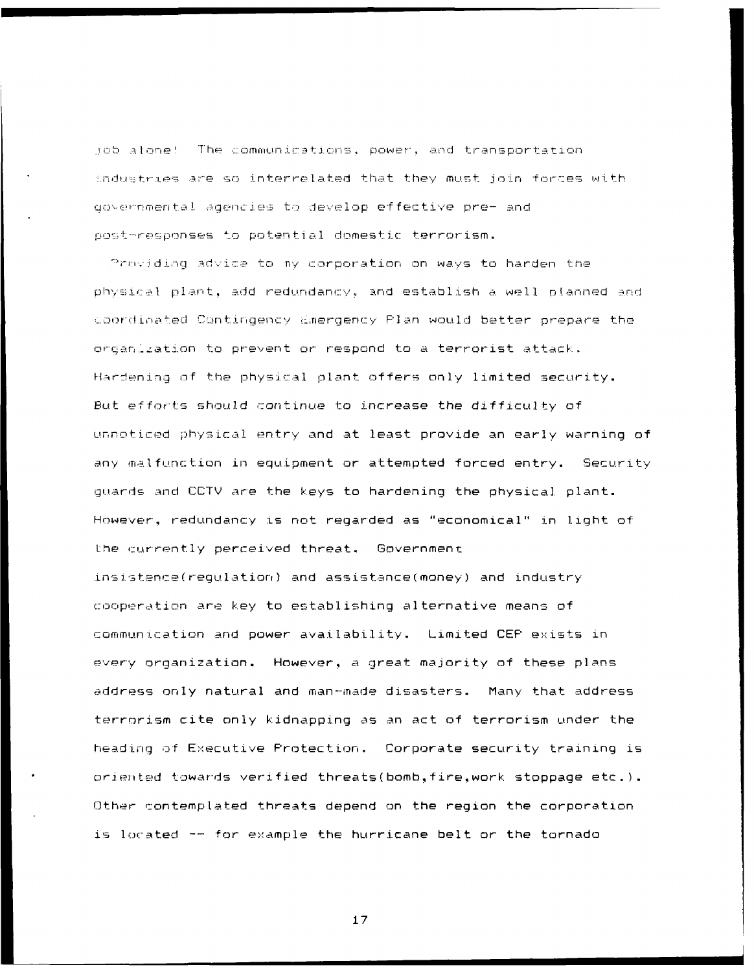job alone! The communications, power, and transportation industries are so interrelated that they must join forces with governmental agencies to develop effective pre- and post-responses to potential domestic terrorism.

Providing advice to my corporation on ways to harden the physical plant, add redundancy, and establish a well planned and coordinated Contingency Emergency Plan would better prepare the organization to prevent or respond to a terrorist attack. Hardening of the physical plant offers only limited security. But efforts should continue to increase the difficulty of unnoticed physical entry and at least provide an early warning of any malfunction in equipment or attempted forced entry. Security guards and CCTV are the keys to hardening the physical plant. However, redundancy is not regarded as "economical" in light of the currently perceived threat. Government insistence(regulation) and assistance(money) and industry cooperation are key to establishing alternative means of communication and power availability. Limited CEP exists in every organization. However, a great majority of these plans address only natural and man-made disasters. Many that address terrorism cite only kidnapping as an act of terrorism under the heading of Executive Protection. Corporate security training is oriented towards verified threats(bomb, fire, work stoppage etc.). Other contemplated threats depend on the region the corporation is located -- for example the hurricane belt or the tornado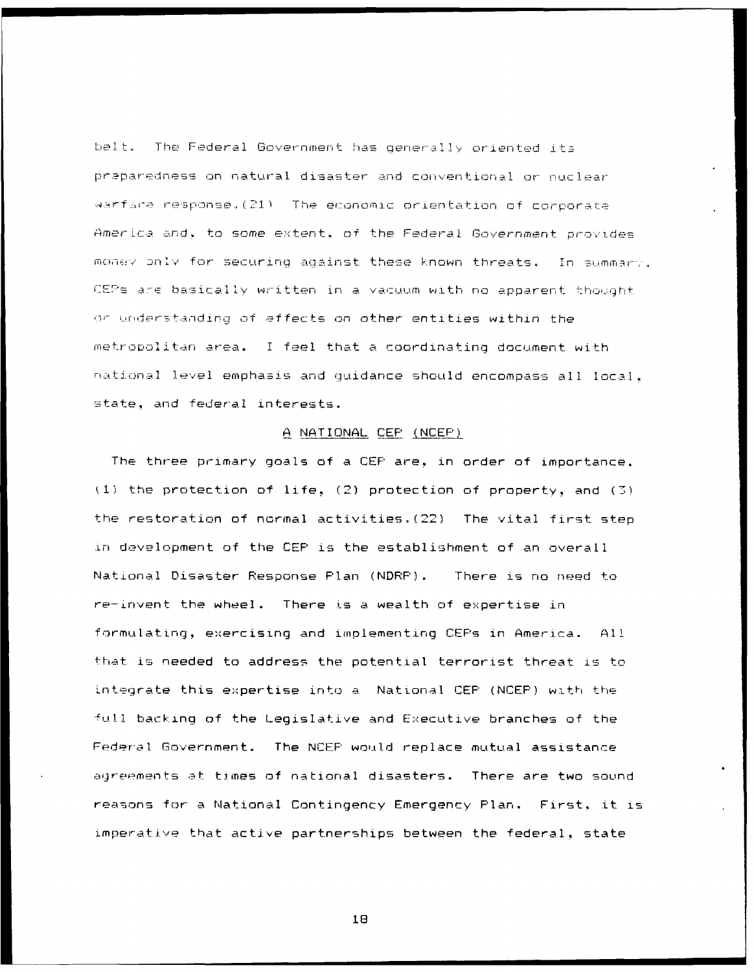belt. The Federal Government has generally oriented its preparedness on natural disaster and conventional or nuclear warfare response.(21) The economic orientation of corporate America and, to some extent, of the Federal Government provides money only for securing against these known threats. In summary, CEPs are basically written in a vacuum with no apparent thought or understanding of effects on other entities within the metropolitan area. I feel that a coordinating document with national level emphasis and quidance should encompass all local. state, and federal interests.

# A NATIONAL CEP (NCEP)

The three primary goals of a CEP are, in order of importance.  $(1)$  the protection of life,  $(2)$  protection of property, and  $(3)$ the restoration of normal activities. (22) The vital first step in development of the CEP is the establishment of an overall National Disaster Response Plan (NDRP). There is no need to re-invent the wheel. There is a wealth of expertise in formulating, exercising and implementing CEFs in America.  $\Delta$ 11 that is needed to address the potential terrorist threat is to integrate this expertise into a National CEP (NCEP) with the full backing of the Legislative and Executive branches of the Federal Government. The NCEP would replace mutual assistance agreements at times of national disasters. There are two sound reasons for a National Contingency Emergency Plan. First, it is imperative that active partnerships between the federal, state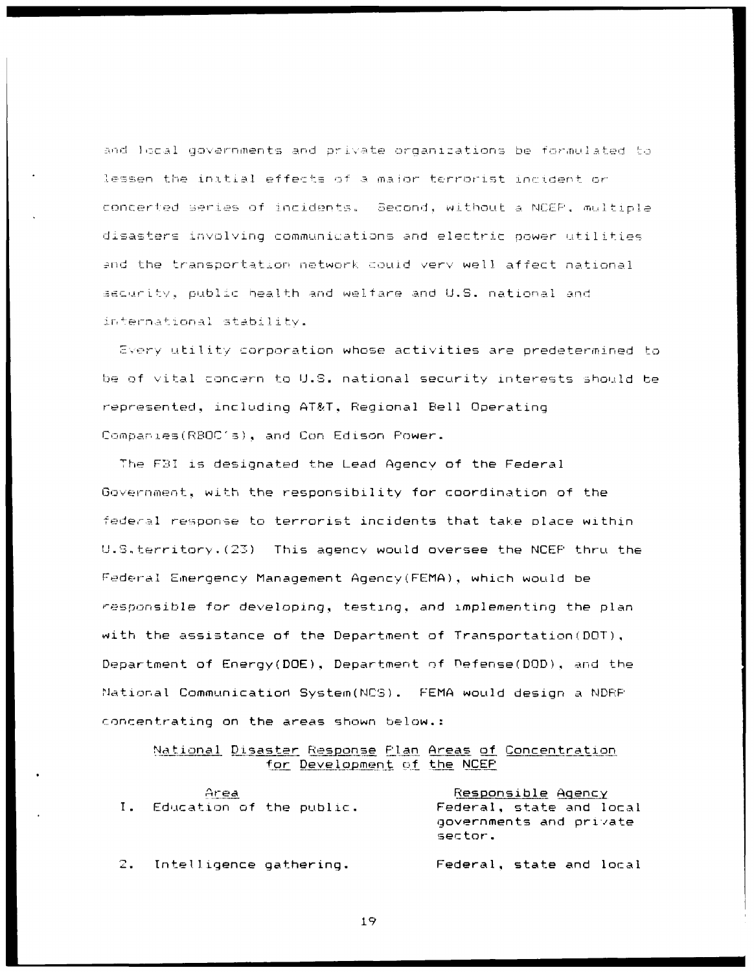and local governments and private organizations be formulated to lessen the initial effects of a major terrorist incident or concerted series of incidents. Second, without a NCEP, multiple disasters involving communications and electric power utilities and the transportation network could very well affect national security, public health and welfare and U.S. national and international stability.

Every utility corporation whose activities are predetermined to be of vital concern to U.S. national security interests should be represented, including AT&T, Regional Bell Operating Companies(RBOC's), and Con Edison Power.

The FBI is designated the Lead Agency of the Federal Government, with the responsibility for coordination of the federal response to terrorist incidents that take place within U.S.territory. (23) This agency would oversee the NCEP thru the Federal Emergency Management Agency(FEMA), which would be responsible for developing, testing, and implementing the plan with the assistance of the Department of Transportation (DOT), Department of Energy(DOE), Department of Defense(DOD), and the National Communication System(NCS). FEMA would design a NDRP concentrating on the areas shown below.:

National Disaster Response Flan Areas of Concentration for Development of the NCEP

| Area                        | Responsible Agency                                             |  |  |
|-----------------------------|----------------------------------------------------------------|--|--|
| I. Education of the public. | Federal, state and local<br>governments and private<br>sector. |  |  |
| 2. Intelligence gathering.  | Federal, state and local                                       |  |  |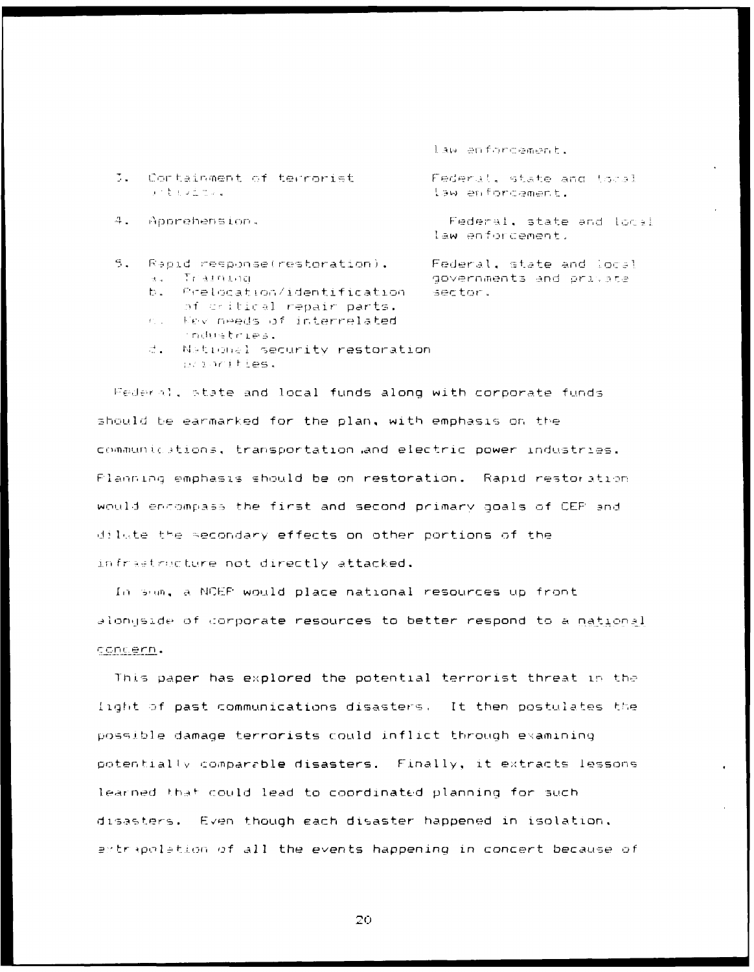law enforcement.

J. Containment of terrorist いまも少しでいる

4. Apprehension.

- $\mathcal{L}_{\mathcal{L}}$ Rapid response(restoration). Training  $\mathbf{H}(\mathbf{q})$  .
	- Prelocation/identification b. of critical repair parts.
	- $\mathbf{f}^{(n)}$  ,  $\mathbf{f}^{(n)}$  ,  $\mathbf{f}^{(n)}$ Nev needs of interrelated industries.
	- d. National security restoration wantibes.

Federal, state and local funds along with corporate funds should be earmarked for the plan, with emphasis on the communications, transportation and electric power industries. Planning emphasis should be on restoration. Rapid restoration would encompass the first and second primary goals of CEP and dilute the secondary effects on other portions of the infrastructure not directly attacked.

In sum, a NCEF would place national resources up front alongside of corporate resources to better respond to a national concern.

This paper has explored the potential terrorist threat in the light of past communications disasters. It then postulates the possible damage terrorists could inflict through examining potentially comparable disasters. Finally, it extracts lessons learned that could lead to coordinated planning for such disasters. Even though each disaster happened in isolation, extrapolation of all the events happening in concert because of

20

Federal, state and local law enforcement.

Federal, state and local law enforcement.

Federal, state and local governments and private sector.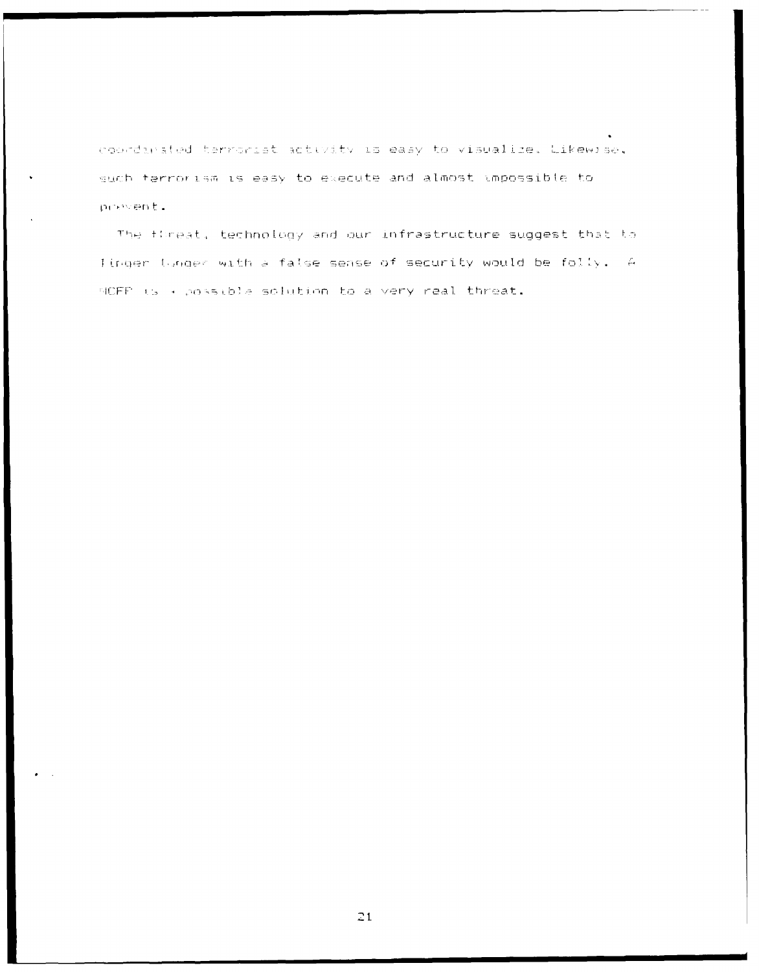coordinated terrorist activity is easy to visualize. Likewise, such ferrorism is easy to execute and almost impossible to pressent.

The firest, technology and our infrastructure suggest that to linger Unger with a false sense of security would be folly. A NOFF is a possible solution to a very real threat.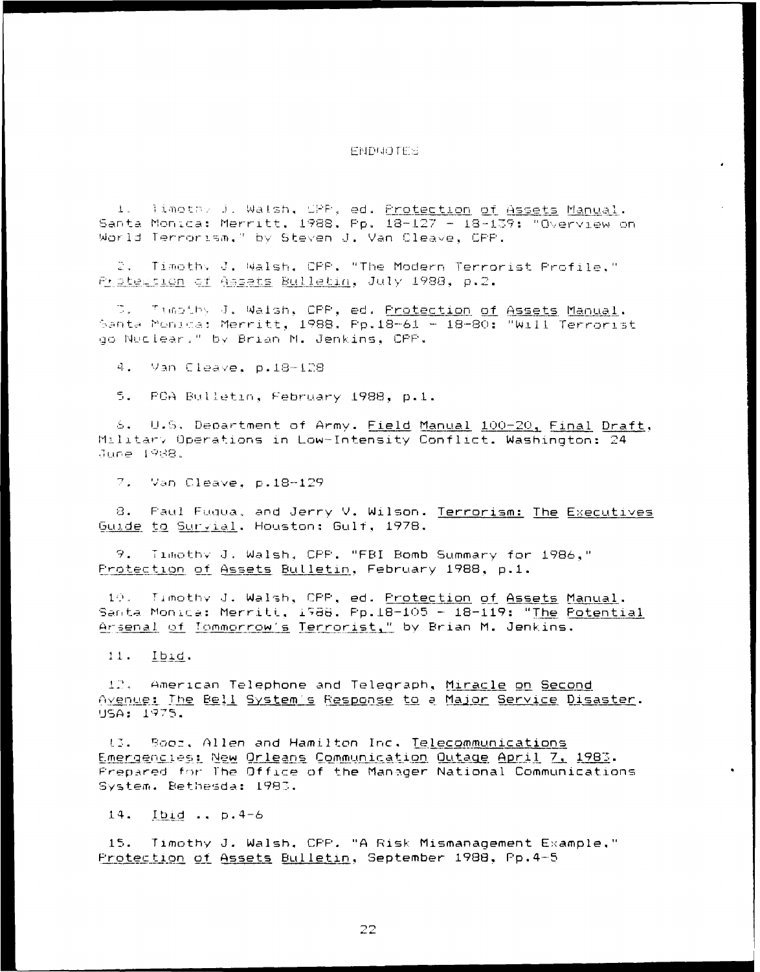# ENDMOTES

1. limothy J. Walsh, CPP, ed. <u>Protection of Assets Manual</u>. Santa Monica: Merritt, 1988, Pp. 18-127 - 18-139: "Overview on World Terrorism," by Steven J. Van Cleave, CPP.

2. Timothy J. Walsh, CPP. "The Modern Terrorist Profile." Protession of Assets Bulletin, July 1988, p.2.

D. Timothy J. Walsh, CPP, ed. <u>Protection of Assets Manual</u>. Santa Monica: Merritt, 1988. Pp.18-61 - 18-80: "Will Terrorist go Nuclear." by Brian M. Jenkins, CPP.

4. Van Cleave, p.18-128

5. FCA Bulletin, February 1988, p.1.

6. U.S. Department of Army. Field Manual 100-20, Final Draft, Military Operations in Low-Intensity Conflict. Washington: 24 June 1988.

7. Van Cleave, p.18-129

8. Faul Fugua, and Jerry V. Wilson. Terrorism: The Executives Guide to Survial, Houston: Gulf, 1978.

9. Timothy J. Walsh, CPP. "FBI Bomb Summary for 1986," Protection of Assets Bulletin, February 1988, p.1.

10. Timothy J. Walsh, CPP, ed. Protection of Assets Manual. Santa Monica: Merritt, 1988. Pp.18-105 - 18-119: "The Potential Arsenal of Tommorrow's Terrorist," by Brian M. Jenkins.

 $11.$   $I$ bid.

12. American Telephone and Telegraph, Miracle on Second Avenue: The Bell System's Response to a Major Service Disaster. USA: 1975.

13. Soor, Allen and Hamilton Inc. Telecommunications Emergencies: New Orleans Communication Outage April 7, 1983. Prepared for The Office of the Manager National Communications System. Bethesda: 1983.

14. Ibid .. p. 4-6

 $15.$ Timothy J. Walsh. CFF. "A Risk Mismanagement Example." Protection of Assets Bulletin, September 1988, Pp.4-5